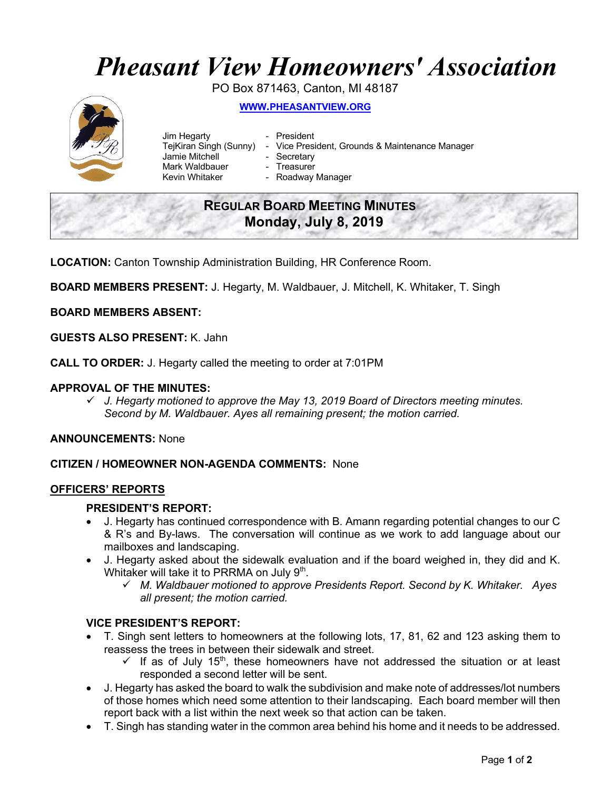# *Pheasant View Homeowners' Association*

PO Box 871463, Canton, MI 48187



**WWW.PHEASANTVIEW.ORG**

- Jim Hegarty  **President** Jamie Mitchell - Secretary Mark Waldbauer **- Treasurer**<br>Kevin Whitaker **- Roadway** 
	-
- TejKiran Singh (Sunny) Vice President, Grounds & Maintenance Manager
	-
	- - Roadway Manager

# **REGULAR BOARD MEETING MINUTES Monday, July 8, 2019**

**LOCATION:** Canton Township Administration Building, HR Conference Room.

**BOARD MEMBERS PRESENT:** J. Hegarty, M. Waldbauer, J. Mitchell, K. Whitaker, T. Singh

**BOARD MEMBERS ABSENT:**

**GUESTS ALSO PRESENT:** K. Jahn

**CALL TO ORDER:** J. Hegarty called the meeting to order at 7:01PM

# **APPROVAL OF THE MINUTES:**

ü *J. Hegarty motioned to approve the May 13, 2019 Board of Directors meeting minutes. Second by M. Waldbauer. Ayes all remaining present; the motion carried.*

**ANNOUNCEMENTS:** None

# **CITIZEN / HOMEOWNER NON-AGENDA COMMENTS:** None

# **OFFICERS' REPORTS**

# **PRESIDENT'S REPORT:**

- J. Hegarty has continued correspondence with B. Amann regarding potential changes to our C & R's and By-laws. The conversation will continue as we work to add language about our mailboxes and landscaping.
- J. Hegarty asked about the sidewalk evaluation and if the board weighed in, they did and K. Whitaker will take it to PRRMA on July  $9<sup>th</sup>$ .
	- ü *M. Waldbauer motioned to approve Presidents Report. Second by K. Whitaker. Ayes all present; the motion carried.*

# **VICE PRESIDENT'S REPORT:**

- T. Singh sent letters to homeowners at the following lots, 17, 81, 62 and 123 asking them to reassess the trees in between their sidewalk and street.
	- $\checkmark$  If as of July 15<sup>th</sup>, these homeowners have not addressed the situation or at least responded a second letter will be sent.
- J. Hegarty has asked the board to walk the subdivision and make note of addresses/lot numbers of those homes which need some attention to their landscaping. Each board member will then report back with a list within the next week so that action can be taken.
- T. Singh has standing water in the common area behind his home and it needs to be addressed.